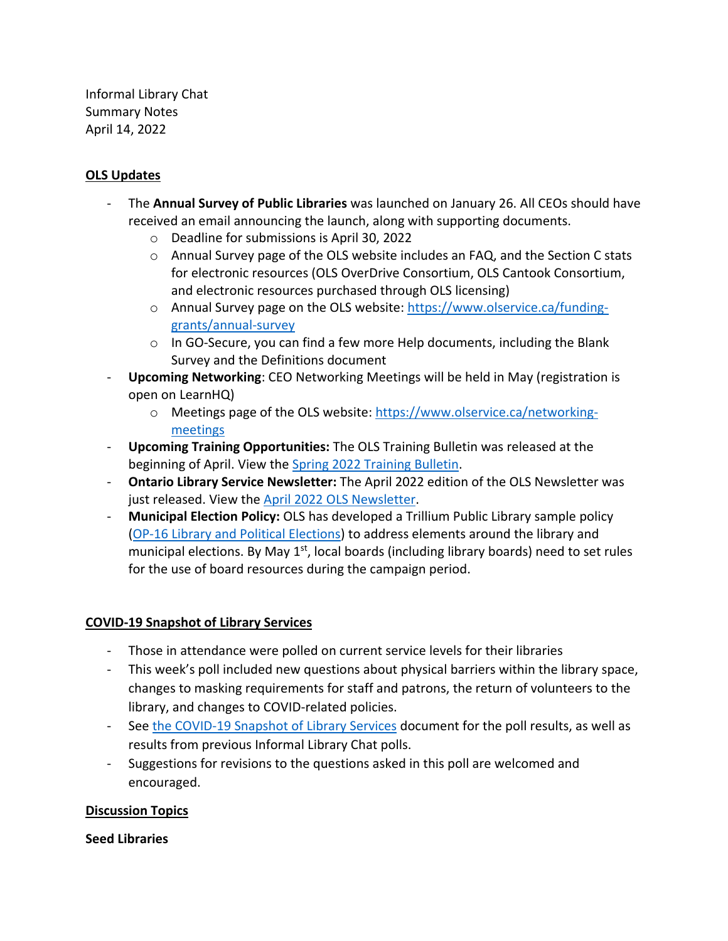Informal Library Chat Summary Notes April 14, 2022

### **OLS Updates**

- The **Annual Survey of Public Libraries** was launched on January 26. All CEOs should have received an email announcing the launch, along with supporting documents.
	- o Deadline for submissions is April 30, 2022
	- $\circ$  Annual Survey page of the OLS website includes an FAQ, and the Section C stats for electronic resources (OLS OverDrive Consortium, OLS Cantook Consortium, and electronic resources purchased through OLS licensing)
	- o Annual Survey page on the OLS website: [https://www.olservice.ca/funding](https://www.olservice.ca/funding-grants/annual-survey)[grants/annual-survey](https://www.olservice.ca/funding-grants/annual-survey)
	- o In GO-Secure, you can find a few more Help documents, including the Blank Survey and the Definitions document
- **Upcoming Networking**: CEO Networking Meetings will be held in May (registration is open on LearnHQ)
	- o Meetings page of the OLS website: [https://www.olservice.ca/networking](https://www.olservice.ca/networking-meetings)[meetings](https://www.olservice.ca/networking-meetings)
- **Upcoming Training Opportunities:** The OLS Training Bulletin was released at the beginning of April. View the [Spring 2022 Training Bulletin.](https://us20.campaign-archive.com/?u=7b058d7d482702c25c4c07674&id=099e241326)
- **Ontario Library Service Newsletter:** The April 2022 edition of the OLS Newsletter was just released. View the [April 2022 OLS Newsletter.](https://us20.campaign-archive.com/?u=7b058d7d482702c25c4c07674&id=971432dbd6)
- **Municipal Election Policy:** OLS has developed a Trillium Public Library sample policy [\(OP-16 Library and Political Elections\)](https://www.olservice.ca/consulting-training/consulting/policy/sample-policies) to address elements around the library and municipal elections. By May  $1<sup>st</sup>$ , local boards (including library boards) need to set rules for the use of board resources during the campaign period.

# **COVID-19 Snapshot of Library Services**

- Those in attendance were polled on current service levels for their libraries
- This week's poll included new questions about physical barriers within the library space, changes to masking requirements for staff and patrons, the return of volunteers to the library, and changes to COVID-related policies.
- See [the COVID-19 Snapshot of Library Services](https://olservice.sharepoint.com/:x:/t/ConsultingMeetings/EVb1lz_ndeZAh4bpU7lrPOQBM5E0VVMNS3TG8iUNFDNORA?rtime=nchqpVMT2kg) document for the poll results, as well as results from previous Informal Library Chat polls.
- Suggestions for revisions to the questions asked in this poll are welcomed and encouraged.

# **Discussion Topics**

#### **Seed Libraries**